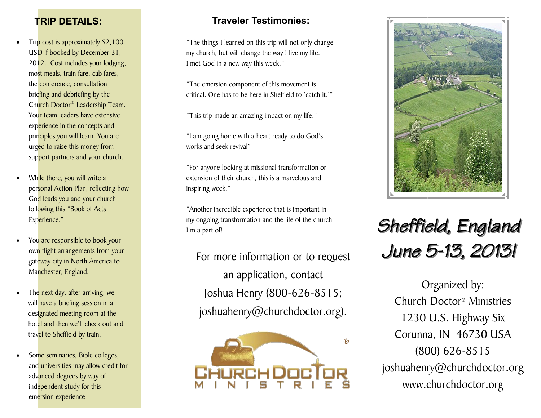#### **TRIP DETAILS:**

- Trip cost is approximately \$2,100 USD if booked by December 31, 2012. Cost includes your lodging, most meals, train fare, cab fares, the conference, consultation briefing and debriefing by the Church Doctor® Leadership Team. Your team leaders have extensive experience in the concepts and principles you will learn. You are urged to raise this money from support partners and your church.
- While there, you will write a personal Action Plan, reflecting how God leads you and your church following this "Book of Acts Experience."
- You are responsible to book your own flight arrangements from your gateway city in North America to Manchester, England.
- The next day, after arriving, we will have a briefing session in a designated meeting room at the hotel and then we'll check out and travel to Sheffield by train.
- Some seminaries, Bible colleges, and universities may allow credit for advanced degrees by way of independent study for this emersion experience

## **Traveler Testimonies:**

"The things I learned on this trip will not only change my church, but will change the way I live my life. I met God in a new way this week."

"The emersion component of this movement is critical. One has to be here in Sheffield to 'catch it.'"

"This trip made an amazing impact on my life."

"I am going home with a heart ready to do God's works and seek revival"

"For anyone looking at missional transformation or extension of their church, this is a marvelous and inspiring week."

"Another incredible experience that is important in my ongoing transformation and the life of the church I'm a part of!

For more information or to request an application, contact Joshua Henry (800-626-8515; joshuahenry@churchdoctor.org).





# *Sheffield, England June 5-13, 2013!*

Organized by: Church Doctor® Ministries 1230 U.S. Highway Six Corunna, IN 46730 USA (800) 626-8515 joshuahenry@churchdoctor.org www.churchdoctor.org